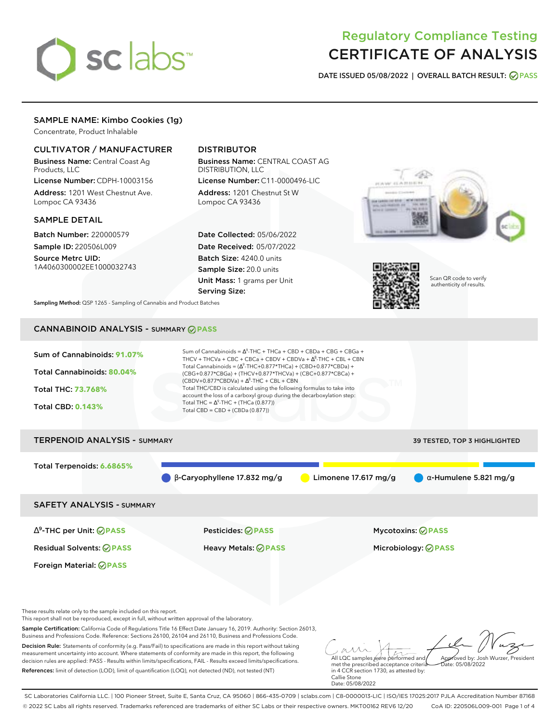

# Regulatory Compliance Testing CERTIFICATE OF ANALYSIS

**DATE ISSUED 05/08/2022 | OVERALL BATCH RESULT: PASS**

# SAMPLE NAME: Kimbo Cookies (1g)

Concentrate, Product Inhalable

### CULTIVATOR / MANUFACTURER

Business Name: Central Coast Ag Products, LLC

License Number: CDPH-10003156 Address: 1201 West Chestnut Ave. Lompoc CA 93436

### SAMPLE DETAIL

Batch Number: 220000579 Sample ID: 220506L009

Source Metrc UID: 1A4060300002EE1000032743

# DISTRIBUTOR

Business Name: CENTRAL COAST AG DISTRIBUTION, LLC License Number: C11-0000496-LIC

Address: 1201 Chestnut St W Lompoc CA 93436

Date Collected: 05/06/2022 Date Received: 05/07/2022 Batch Size: 4240.0 units Sample Size: 20.0 units Unit Mass: 1 grams per Unit Serving Size:





Scan QR code to verify authenticity of results.

**Sampling Method:** QSP 1265 - Sampling of Cannabis and Product Batches

# CANNABINOID ANALYSIS - SUMMARY **PASS**



Business and Professions Code. Reference: Sections 26100, 26104 and 26110, Business and Professions Code. Decision Rule: Statements of conformity (e.g. Pass/Fail) to specifications are made in this report without taking measurement uncertainty into account. Where statements of conformity are made in this report, the following decision rules are applied: PASS - Results within limits/specifications, FAIL - Results exceed limits/specifications. References: limit of detection (LOD), limit of quantification (LOQ), not detected (ND), not tested (NT)

All LQC samples were performed and met the prescribed acceptance criteria Approved by: Josh Wurzer, President  $ate: 05/08/2022$ 

in 4 CCR section 1730, as attested by: Callie Stone Date: 05/08/2022

SC Laboratories California LLC. | 100 Pioneer Street, Suite E, Santa Cruz, CA 95060 | 866-435-0709 | sclabs.com | C8-0000013-LIC | ISO/IES 17025:2017 PJLA Accreditation Number 87168 © 2022 SC Labs all rights reserved. Trademarks referenced are trademarks of either SC Labs or their respective owners. MKT00162 REV6 12/20 CoA ID: 220506L009-001 Page 1 of 4